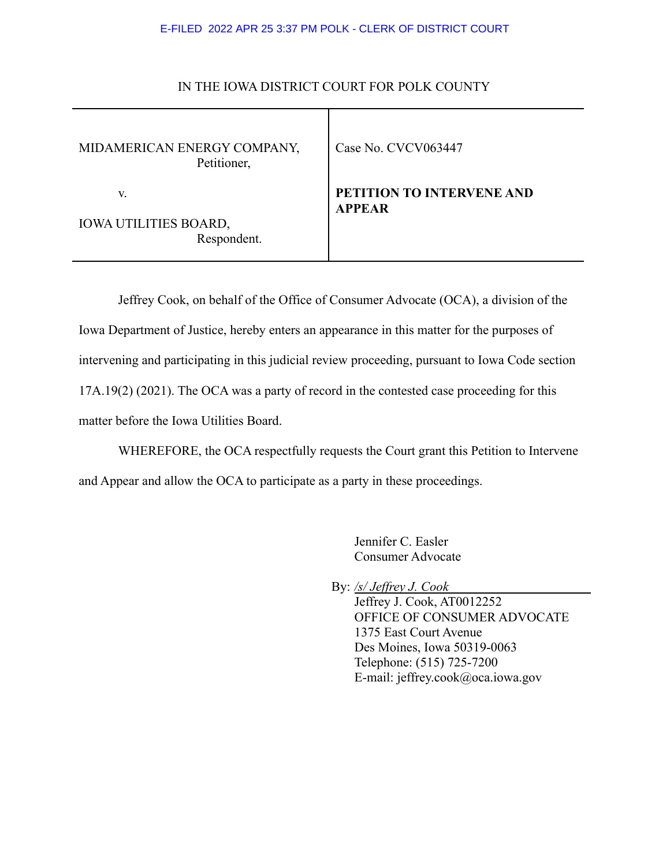## E-FILED 2022 APR 25 3:37 PM POLK - CLERK OF DISTRICT COURT

| MIDAMERICAN ENERGY COMPANY,<br>Petitioner, | Case No. CVCV063447                        |
|--------------------------------------------|--------------------------------------------|
| V.                                         | PETITION TO INTERVENE AND<br><b>APPEAR</b> |
| <b>IOWA UTILITIES BOARD,</b>               |                                            |
| Respondent.                                |                                            |

## IN THE IOWA DISTRICT COURT FOR POLK COUNTY

Jeffrey Cook, on behalf of the Office of Consumer Advocate (OCA), a division of the Iowa Department of Justice, hereby enters an appearance in this matter for the purposes of intervening and participating in this judicial review proceeding, pursuant to Iowa Code section 17A.19(2) (2021). The OCA was a party of record in the contested case proceeding for this

matter before the Iowa Utilities Board.

WHEREFORE, the OCA respectfully requests the Court grant this Petition to Intervene and Appear and allow the OCA to participate as a party in these proceedings.

> Jennifer C. Easler Consumer Advocate

By: */s/ Jeffrey J. Cook*

Jeffrey J. Cook, AT0012252 OFFICE OF CONSUMER ADVOCATE 1375 East Court Avenue Des Moines, Iowa 50319-0063 Telephone: (515) 725-7200 E-mail: jeffrey.cook@oca.iowa.gov